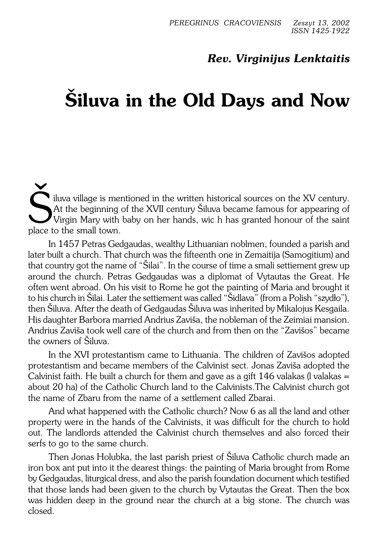## *Rev. Virginijus Lenktaitis*

## **Šiluva in the Old Days and Now**

Siluva village is mentioned in the written historical sources on the XV century.<br>At the beginning of the XVII century Šiluva became famous for appearing of Virgin Mary with baby on her hands, wic h has granted honour of th iluva village is mentioned in the written historical sources on the XV century. At the beginning of the XVII century Šiluva became famous for appearing of place to the small town.

In 1457 Petras Gedgaudas, wealthy Lithuanian noblmen, founded a parish and later built a church. That church was the fifteenth one in Zemaitija (Samogitium) and that country got the name of "Šilai". In the course of time a smali settiement grew up around the church. Petras Gedgaudas was a diplomat of Vytautas the Great. He often went abroad. On his visit to Rome he got the painting of Maria and brought it to his church in Šilai. Later the settiement was called "Šidlava" (from a Polish "szydło"), then Šiluva. After the death of Gedgaudas Šiluva was inherited by Mikalojus Kesgaila. His daughter Barbora married Andrius Zaviša, the nobleman of the Zeimiai mansion. Andrius Zaviša took well care of the church and from then on the "Zavišos" became the owners of Šiluva.

In the XVI protestantism came to Lithuania. The children of Zavišos adopted protestantism and became members of the Calvinist sect. Jonas Zaviša adopted the Calvinist faith. He built a church for them and gave as a gift 146 valakas (I valakas  $=$ about 20 ha) of the Catholic Church land to the Calvinists.The Calvinist church got the name of Zbaru from the name of a settlement called Zbarai.

And what happened with the Catholic church? Now 6 as all the land and other property were in the hands of the Calvinists, it was difficult for the church to hold out. The landlords attended the Calvinist church themselves and also forced their serfs to go to the same church.

Then Jonas Holubka, the last parish priest of Šiluva Catholic church made an iron box ant put into it the dearest things: the painting of Maria brought from Rome by Gedgaudas, liturgical dress, and also the parish foundation document which testified that those lands had been given to the church by Vytautas the Great. Then the box was hidden deep in the ground near the church at a big stone. The church was closed.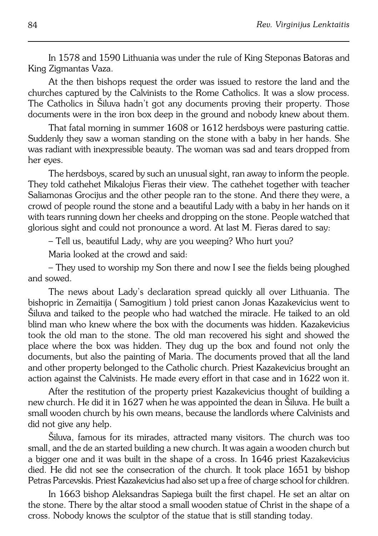In 1578 and 1590 Lithuania was under the rule of King Steponas Batoras and King Zigmantas Vaza.

At the then bishops request the order was issued to restore the land and the churches captured by the Calvinists to the Rome Catholics. It was a slow process. The Catholics in Šiluva hadn't got any documents proving their property. Those documents were in the iron box deep in the ground and nobody knew about them.

That fatal morning in summer 1608 or 1612 herdsboys were pasturing cattie. Suddenly they saw a woman standing on the stone with a baby in her hands. She was radiant with inexpressible beauty. The woman was sad and tears dropped from her eyes.

The herdsboys, scared by such an unusual sight, ran away to inform the people. They told cathehet Mikalojus Fieras their view. The cathehet together with teacher Saliamonas Grocijus and the other people ran to the stone. And there they were, a crowd of people round the stone and a beautiful Lady with a baby in her hands on it with tears running down her cheeks and dropping on the stone. People watched that glorious sight and could not pronounce a word. At last M. Fieras dared to say:

– Tell us, beautiful Lady, why are you weeping? Who hurt you?

Maria looked at the crowd and said:

– They used to worship my Son there and now I see the fields being ploughed and sowed.

The news about Lady's declaration spread quickly all over Lithuania. The bishopric in Zemaitija ( Samogitium ) told priest canon Jonas Kazakevicius went to Šiluva and taiked to the people who had watched the miracle. He taiked to an old blind man who knew where the box with the documents was hidden. Kazakevicius took the old man to the stone. The old man recovered his sight and showed the place where the box was hidden. They dug up the box and found not only the documents, but also the painting of Maria. The documents proved that all the land and other property belonged to the Catholic church. Priest Kazakevicius brought an action against the Calvinists. He made every effort in that case and in 1622 won it.

After the restitution of the property priest Kazakevicius thought of building a new church. He did it in 1627 when he was appointed the dean in Šiluva. He built a small wooden church by his own means, because the landlords where Calvinists and did not give any help.

Siluva, famous for its mirades, attracted many visitors. The church was too small, and the de an started building a new church. It was again a wooden church but a bigger one and it was built in the shape of a cross. In 1646 priest Kazakevicius died. He did not see the consecration of the church. It took place 1651 by bishop Petras Parcevskis. Priest Kazakevicius had also set up a free of charge school for children.

In 1663 bishop Aleksandras Sapiega built the first chapel. He set an altar on the stone. There by the altar stood a small wooden statue of Christ in the shape of a cross. Nobody knows the sculptor of the statue that is still standing today.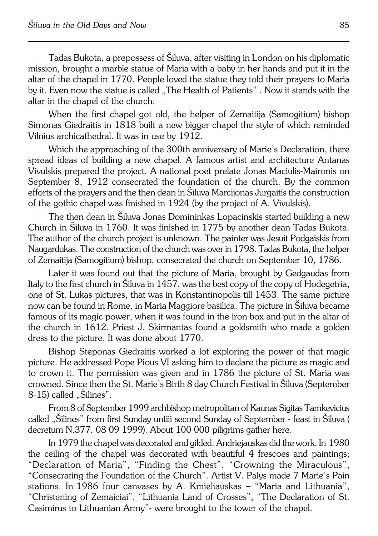Tadas Bukota, a prepossess of Šiluva, after visiting in London on his diplomatic mission, brought a marble statue of Maria with a baby in her hands and put it in the altar of the chapel in 1770. People loved the statue they told their prayers to Maria by it. Even now the statue is called . The Health of Patients". Now it stands with the altar in the chapel of the church.

When the first chapel got old, the helper of Zemaitija (Samogitium) bishop Simonas Giedraitis in 1818 built a new bigger chapel the style of which reminded Vilnius archicathedral. It was in use by 1912.

Which the approaching of the 300th anniversary of Marie's Declaration, there spread ideas of building a new chapel. A famous artist and architecture Antanas Vivulskis prepared the project. A national poet prelate Jonas Maciulis−Maironis on September 8, 1912 consecrated the foundation of the church. By the common efforts of the prayers and the then dean in Šiluva Marcijonas Jurgaitis the construction of the gothic chapel was finished in 1924 (by the project of A. Vivulskis).

The then dean in Šiluva Jonas Domininkas Lopacinskis started building a new Church in Šiluva in 1760. It was finished in 1775 by another dean Tadas Bukota. The author of the church project is unknown. The painter was Jesuit Podgaiskis from Naugardukas. The construction of the church was over in 1798. Tadas Bukota, the helper of Zemaitija (Samogitium) bishop, consecrated the church on September 10,1786.

Later it was found out that the picture of Maria, brought by Gedgaudas from Italy to the first church in Šiluva in 1457, was the best copy of the copy of Hodegetria, one of St. Lukas pictures, that was in Konstantinopolis till 1453. The same picture now can be found in Rome, in Maria Maggiore basilica. The picture in Šiluva became famous of its magic power, when it was found in the iron box and put in the altar of the church in 1612. Priest J. Skirmantas found a goldsmith who made a golden dress to the picture. It was done about 1770.

Bishop Steponas Giedraitis worked a lot exploring the power of that magic picture. He addressed Pope Pious VI asking him to declare the picture as magic and to crown it. The permission was given and in 1786 the picture of St. Maria was crowned. Since then the St. Marie's Birth 8 day Church Festival in Šiluva (September 8-15) called "Šilines".

From 8 of September 1999 archbishop metropolitan of Kaunas Sigitas Tamkevicius called "Šilines" from first Sunday untiii second Sunday of September − feast in Šiluva ( decretum N.377, 08 09 1999). About 100 000 piligrims gather here.

In 1979 the chapel was decorated and gilded. Andriejauskas did the work. In1980 the ceiling of the chapel was decorated with beautiful 4 frescoes and paintings; "Declaration of Maria", "Finding the Chest", "Crowning the Miraculous", "Consecrating the Foundation of the Church". Artist V. Palys made 7 Marie's Pain stations. In 1986 four canvases by A. Kmieliauskas – "Maria and Lithuania", "Christening of Zemaiciai", "Lithuania Land of Crosses", "The Declaration of St. Casimirus to Lithuanian Army"− were brought to the tower of the chapel.